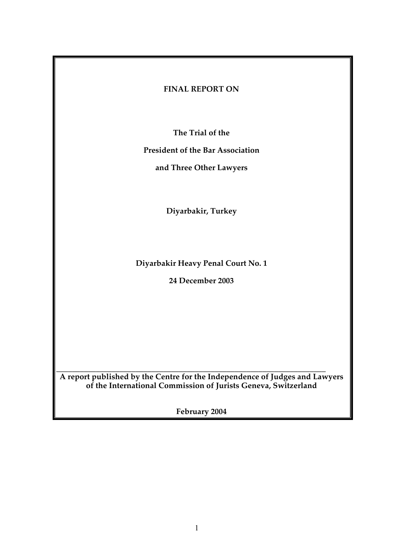## **FINAL REPORT ON**

**The Trial of the**

**President of the Bar Association**

**and Three Other Lawyers**

**Diyarbakir, Turkey**

**Diyarbakir Heavy Penal Court No. 1**

**24 December 2003**

\_\_\_\_\_\_\_\_\_\_\_\_\_\_\_\_\_\_\_\_\_\_\_\_\_\_\_\_\_\_\_\_\_\_\_\_\_\_\_\_\_\_\_\_\_\_\_\_\_\_\_\_\_\_\_\_\_\_\_\_\_\_\_\_\_\_\_\_ **A report published by the Centre for the Independence of Judges and Lawyers of the International Commission of Jurists Geneva, Switzerland**

**February 2004**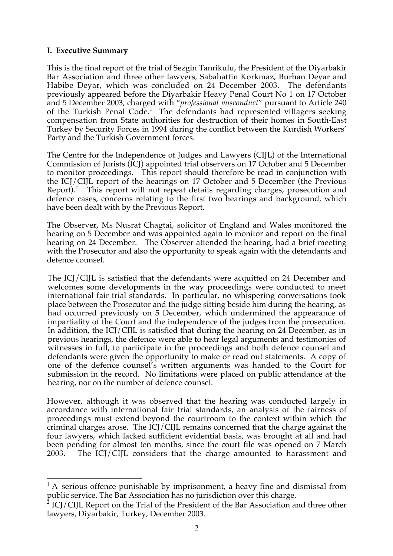#### **I. Executive Summary**

This is the final report of the trial of Sezgin Tanrikulu, the President of the Diyarbakir Bar Association and three other lawyers, Sabahattin Korkmaz, Burhan Deyar and Habibe Deyar, which was concluded on 24 December 2003. The defendants previously appeared before the Diyarbakir Heavy Penal Court No 1 on 17 October and 5 December 2003, charged with "*professional misconduct*" pursuant to Article 240 of the Turkish Penal Code.<sup>1</sup> The defendants had represented villagers seeking compensation from State authorities for destruction of their homes in South-East Turkey by Security Forces in 1994 during the conflict between the Kurdish Workers' Party and the Turkish Government forces.

The Centre for the Independence of Judges and Lawyers (CIJL) of the International Commission of Jurists (ICJ) appointed trial observers on 17 October and 5 December to monitor proceedings. This report should therefore be read in conjunction with the ICJ/CIJL report of the hearings on 17 October and 5 December (the Previous Report). $^2$  This report will not repeat details regarding charges, prosecution and defence cases, concerns relating to the first two hearings and background, which have been dealt with by the Previous Report.

The Observer, Ms Nusrat Chagtai, solicitor of England and Wales monitored the hearing on 5 December and was appointed again to monitor and report on the final hearing on 24 December. The Observer attended the hearing, had a brief meeting with the Prosecutor and also the opportunity to speak again with the defendants and defence counsel.

The ICJ/CIJL is satisfied that the defendants were acquitted on 24 December and welcomes some developments in the way proceedings were conducted to meet international fair trial standards. In particular, no whispering conversations took place between the Prosecutor and the judge sitting beside him during the hearing, as had occurred previously on 5 December, which undermined the appearance of impartiality of the Court and the independence of the judges from the prosecution. In addition, the ICJ/CIJL is satisfied that during the hearing on 24 December, as in previous hearings, the defence were able to hear legal arguments and testimonies of witnesses in full, to participate in the proceedings and both defence counsel and defendants were given the opportunity to make or read out statements. A copy of one of the defence counsel's written arguments was handed to the Court for submission in the record. No limitations were placed on public attendance at the hearing, nor on the number of defence counsel.

However, although it was observed that the hearing was conducted largely in accordance with international fair trial standards, an analysis of the fairness of proceedings must extend beyond the courtroom to the context within which the criminal charges arose. The ICJ/CIJL remains concerned that the charge against the four lawyers, which lacked sufficient evidential basis, was brought at all and had been pending for almost ten months, since the court file was opened on 7 March 2003. The ICJ/CIJL considers that the charge amounted to harassment and

 $<sup>1</sup>$  A serious offence punishable by imprisonment, a heavy fine and dismissal from</sup> public service. The Bar Association has no jurisdiction over this charge.

 $2$  ICJ/CIJL Report on the Trial of the President of the Bar Association and three other lawyers, Diyarbakir, Turkey, December 2003.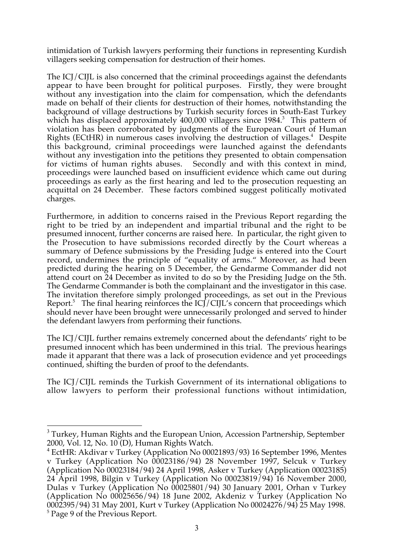intimidation of Turkish lawyers performing their functions in representing Kurdish villagers seeking compensation for destruction of their homes.

The ICJ/CIJL is also concerned that the criminal proceedings against the defendants appear to have been brought for political purposes. Firstly, they were brought without any investigation into the claim for compensation, which the defendants made on behalf of their clients for destruction of their homes, notwithstanding the background of village destructions by Turkish security forces in South-East Turkey which has displaced approximately 400,000 villagers since 1984.<sup>3</sup> This pattern of violation has been corroborated by judgments of the European Court of Human Rights (ECtHR) in numerous cases involving the destruction of villages.<sup>4</sup> Despite this background, criminal proceedings were launched against the defendants without any investigation into the petitions they presented to obtain compensation for victims of human rights abuses. Secondly and with this context in mind, proceedings were launched based on insufficient evidence which came out during proceedings as early as the first hearing and led to the prosecution requesting an acquittal on 24 December. These factors combined suggest politically motivated charges.

Furthermore, in addition to concerns raised in the Previous Report regarding the right to be tried by an independent and impartial tribunal and the right to be presumed innocent, further concerns are raised here. In particular, the right given to the Prosecution to have submissions recorded directly by the Court whereas a summary of Defence submissions by the Presiding Judge is entered into the Court record, undermines the principle of "equality of arms." Moreover, as had been predicted during the hearing on 5 December, the Gendarme Commander did not attend court on 24 December as invited to do so by the Presiding Judge on the 5th. The Gendarme Commander is both the complainant and the investigator in this case. The invitation therefore simply prolonged proceedings, as set out in the Previous Report.<sup>5</sup> The final hearing reinforces the ICJ/CIJL's concern that proceedings which should never have been brought were unnecessarily prolonged and served to hinder the defendant lawyers from performing their functions.

The ICJ/CIJL further remains extremely concerned about the defendants' right to be presumed innocent which has been undermined in this trial. The previous hearings made it apparant that there was a lack of prosecution evidence and yet proceedings continued, shifting the burden of proof to the defendants.

The ICJ/CIJL reminds the Turkish Government of its international obligations to allow lawyers to perform their professional functions without intimidation,

<sup>&</sup>lt;sup>3</sup> Turkey, Human Rights and the European Union, Accession Partnership, September 2000, Vol. 12, No. 10 (D), Human Rights Watch.

<sup>4</sup> EctHR: Akdivar v Turkey (Application No 00021893/93) 16 September 1996, Mentes v Turkey (Application No 00023186/94) 28 November 1997, Selcuk v Turkey (Application No 00023184/94) 24 April 1998, Asker v Turkey (Application 00023185) 24 April 1998, Bilgin v Turkey (Application No 00023819/94) 16 November 2000, Dulas v Turkey (Application No 00025801/94) 30 January 2001, Orhan v Turkey (Application No 00025656/94) 18 June 2002, Akdeniz v Turkey (Application No 0002395/94) 31 May 2001, Kurt v Turkey (Application No 00024276/94) 25 May 1998. <sup>5</sup> Page 9 of the Previous Report.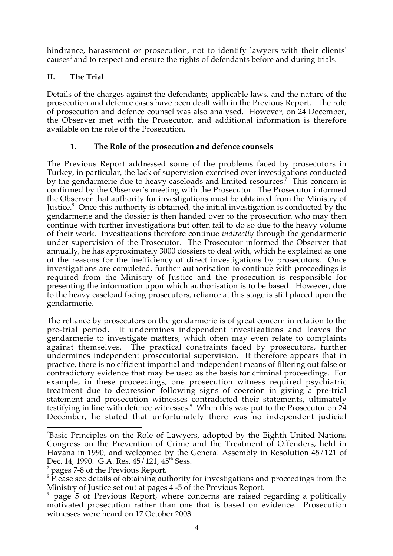hindrance, harassment or prosecution, not to identify lawyers with their clients' causes $^6$  and to respect and ensure the rights of defendants before and during trials.

## **II. The Trial**

Details of the charges against the defendants, applicable laws, and the nature of the prosecution and defence cases have been dealt with in the Previous Report. The role of prosecution and defence counsel was also analysed. However, on 24 December, the Observer met with the Prosecutor, and additional information is therefore available on the role of the Prosecution.

## **1. The Role of the prosecution and defence counsels**

The Previous Report addressed some of the problems faced by prosecutors in Turkey, in particular, the lack of supervision exercised over investigations conducted by the gendarmerie due to heavy caseloads and limited resources.<sup>7</sup> This concern is confirmed by the Observer's meeting with the Prosecutor. The Prosecutor informed the Observer that authority for investigations must be obtained from the Ministry of Justice.<sup>8</sup> Once this authority is obtained, the initial investigation is conducted by the gendarmerie and the dossier is then handed over to the prosecution who may then continue with further investigations but often fail to do so due to the heavy volume of their work. Investigations therefore continue *indirectly* through the gendarmerie under supervision of the Prosecutor. The Prosecutor informed the Observer that annually, he has approximately 3000 dossiers to deal with, which he explained as one of the reasons for the inefficiency of direct investigations by prosecutors. Once investigations are completed, further authorisation to continue with proceedings is required from the Ministry of Justice and the prosecution is responsible for presenting the information upon which authorisation is to be based. However, due to the heavy caseload facing prosecutors, reliance at this stage is still placed upon the gendarmerie.

The reliance by prosecutors on the gendarmerie is of great concern in relation to the pre-trial period. It undermines independent investigations and leaves the gendarmerie to investigate matters, which often may even relate to complaints against themselves. The practical constraints faced by prosecutors, further undermines independent prosecutorial supervision. It therefore appears that in practice, there is no efficient impartial and independent means of filtering out false or contradictory evidence that may be used as the basis for criminal proceedings. For example, in these proceedings, one prosecution witness required psychiatric treatment due to depression following signs of coercion in giving a pre-trial statement and prosecution witnesses contradicted their statements, ultimately testifying in line with defence witnesses.<sup>9</sup> When this was put to the Prosecutor on 24 December, he stated that unfortunately there was no independent judicial

 $\overline{a}$ 6 Basic Principles on the Role of Lawyers, adopted by the Eighth United Nations Congress on the Prevention of Crime and the Treatment of Offenders, held in Havana in 1990, and welcomed by the General Assembly in Resolution 45/121 of Dec. 14, 1990. G.A. Res.  $45/121$ ,  $45^{\text{th}}$  Sess.

<sup>7</sup> pages 7-8 of the Previous Report.

 $8$  Please see details of obtaining authority for investigations and proceedings from the Ministry of Justice set out at pages 4 -5 of the Previous Report.

<sup>9</sup> page 5 of Previous Report, where concerns are raised regarding a politically motivated prosecution rather than one that is based on evidence. Prosecution witnesses were heard on 17 October 2003.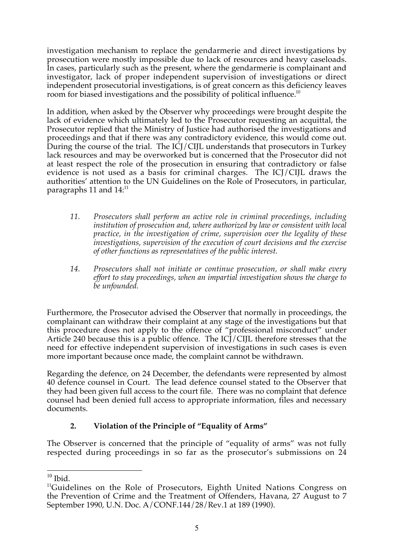investigation mechanism to replace the gendarmerie and direct investigations by prosecution were mostly impossible due to lack of resources and heavy caseloads. In cases, particularly such as the present, where the gendarmerie is complainant and investigator, lack of proper independent supervision of investigations or direct independent prosecutorial investigations, is of great concern as this deficiency leaves room for biased investigations and the possibility of political influence.<sup>10</sup>

In addition, when asked by the Observer why proceedings were brought despite the lack of evidence which ultimately led to the Prosecutor requesting an acquittal, the Prosecutor replied that the Ministry of Justice had authorised the investigations and proceedings and that if there was any contradictory evidence, this would come out. During the course of the trial. The ICJ/CIJL understands that prosecutors in Turkey lack resources and may be overworked but is concerned that the Prosecutor did not at least respect the role of the prosecution in ensuring that contradictory or false evidence is not used as a basis for criminal charges. The ICJ/CIJL draws the authorities' attention to the UN Guidelines on the Role of Prosecutors, in particular, paragraphs 11 and  $14$ <sup> $11$ </sup>

- *11. Prosecutors shall perform an active role in criminal proceedings, including institution of prosecution and, where authorized by law or consistent with local practice, in the investigation of crime, supervision over the legality of these investigations, supervision of the execution of court decisions and the exercise of other functions as representatives of the public interest.*
- *14. Prosecutors shall not initiate or continue prosecution, or shall make every effort to stay proceedings, when an impartial investigation shows the charge to be unfounded.*

Furthermore, the Prosecutor advised the Observer that normally in proceedings, the complainant can withdraw their complaint at any stage of the investigations but that this procedure does not apply to the offence of "professional misconduct" under Article 240 because this is a public offence. The ICJ/CIJL therefore stresses that the need for effective independent supervision of investigations in such cases is even more important because once made, the complaint cannot be withdrawn.

Regarding the defence, on 24 December, the defendants were represented by almost 40 defence counsel in Court. The lead defence counsel stated to the Observer that they had been given full access to the court file. There was no complaint that defence counsel had been denied full access to appropriate information, files and necessary documents.

# **2. Violation of the Principle of "Equality of Arms"**

The Observer is concerned that the principle of "equality of arms" was not fully respected during proceedings in so far as the prosecutor's submissions on 24

 $10$  Ibid.

<sup>&</sup>lt;sup>11</sup>Guidelines on the Role of Prosecutors, Eighth United Nations Congress on the Prevention of Crime and the Treatment of Offenders, Havana, 27 August to 7 September 1990, U.N. Doc. A/CONF.144/28/Rev.1 at 189 (1990).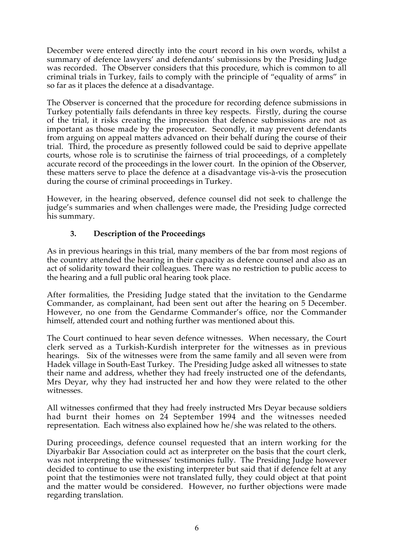December were entered directly into the court record in his own words, whilst a summary of defence lawyers' and defendants' submissions by the Presiding Judge was recorded. The Observer considers that this procedure, which is common to all criminal trials in Turkey, fails to comply with the principle of "equality of arms" in so far as it places the defence at a disadvantage.

The Observer is concerned that the procedure for recording defence submissions in Turkey potentially fails defendants in three key respects. Firstly, during the course of the trial, it risks creating the impression that defence submissions are not as important as those made by the prosecutor. Secondly, it may prevent defendants from arguing on appeal matters advanced on their behalf during the course of their trial. Third, the procedure as presently followed could be said to deprive appellate courts, whose role is to scrutinise the fairness of trial proceedings, of a completely accurate record of the proceedings in the lower court. In the opinion of the Observer, these matters serve to place the defence at a disadvantage vis-à-vis the prosecution during the course of criminal proceedings in Turkey.

However, in the hearing observed, defence counsel did not seek to challenge the judge's summaries and when challenges were made, the Presiding Judge corrected his summary.

## **3. Description of the Proceedings**

As in previous hearings in this trial, many members of the bar from most regions of the country attended the hearing in their capacity as defence counsel and also as an act of solidarity toward their colleagues. There was no restriction to public access to the hearing and a full public oral hearing took place.

After formalities, the Presiding Judge stated that the invitation to the Gendarme Commander, as complainant, had been sent out after the hearing on 5 December. However, no one from the Gendarme Commander's office, nor the Commander himself, attended court and nothing further was mentioned about this.

The Court continued to hear seven defence witnesses. When necessary, the Court clerk served as a Turkish-Kurdish interpreter for the witnesses as in previous hearings. Six of the witnesses were from the same family and all seven were from Hadek village in South-East Turkey. The Presiding Judge asked all witnesses to state their name and address, whether they had freely instructed one of the defendants, Mrs Deyar, why they had instructed her and how they were related to the other witnesses.

All witnesses confirmed that they had freely instructed Mrs Deyar because soldiers had burnt their homes on 24 September 1994 and the witnesses needed representation. Each witness also explained how he/she was related to the others.

During proceedings, defence counsel requested that an intern working for the Diyarbakir Bar Association could act as interpreter on the basis that the court clerk, was not interpreting the witnesses' testimonies fully. The Presiding Judge however decided to continue to use the existing interpreter but said that if defence felt at any point that the testimonies were not translated fully, they could object at that point and the matter would be considered. However, no further objections were made regarding translation.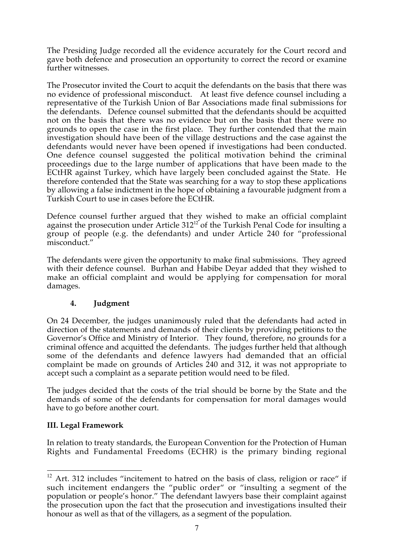The Presiding Judge recorded all the evidence accurately for the Court record and gave both defence and prosecution an opportunity to correct the record or examine further witnesses.

The Prosecutor invited the Court to acquit the defendants on the basis that there was no evidence of professional misconduct. At least five defence counsel including a representative of the Turkish Union of Bar Associations made final submissions for the defendants. Defence counsel submitted that the defendants should be acquitted not on the basis that there was no evidence but on the basis that there were no grounds to open the case in the first place. They further contended that the main investigation should have been of the village destructions and the case against the defendants would never have been opened if investigations had been conducted. One defence counsel suggested the political motivation behind the criminal proceedings due to the large number of applications that have been made to the ECtHR against Turkey, which have largely been concluded against the State. He therefore contended that the State was searching for a way to stop these applications by allowing a false indictment in the hope of obtaining a favourable judgment from a Turkish Court to use in cases before the ECtHR.

Defence counsel further argued that they wished to make an official complaint against the prosecution under Article  $312^{12}$  of the Turkish Penal Code for insulting a group of people (e.g. the defendants) and under Article 240 for "professional misconduct."

The defendants were given the opportunity to make final submissions. They agreed with their defence counsel. Burhan and Habibe Deyar added that they wished to make an official complaint and would be applying for compensation for moral damages.

## **4. Judgment**

On 24 December, the judges unanimously ruled that the defendants had acted in direction of the statements and demands of their clients by providing petitions to the Governor's Office and Ministry of Interior. They found, therefore, no grounds for a criminal offence and acquitted the defendants. The judges further held that although some of the defendants and defence lawyers had demanded that an official complaint be made on grounds of Articles 240 and 312, it was not appropriate to accept such a complaint as a separate petition would need to be filed.

The judges decided that the costs of the trial should be borne by the State and the demands of some of the defendants for compensation for moral damages would have to go before another court.

## **III. Legal Framework**

In relation to treaty standards, the European Convention for the Protection of Human Rights and Fundamental Freedoms (ECHR) is the primary binding regional

 $12$  Art. 312 includes "incitement to hatred on the basis of class, religion or race" if such incitement endangers the "public order" or "insulting a segment of the population or people's honor." The defendant lawyers base their complaint against the prosecution upon the fact that the prosecution and investigations insulted their honour as well as that of the villagers, as a segment of the population.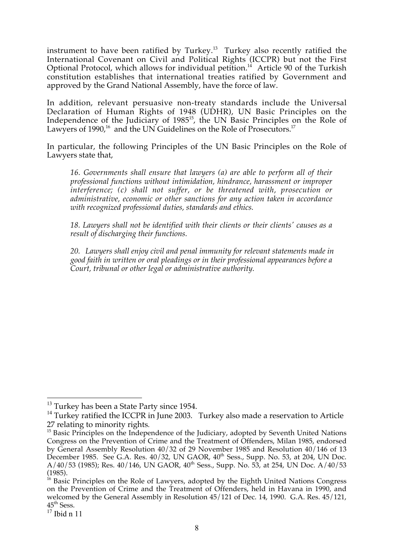instrument to have been ratified by Turkey.<sup>13</sup> Turkey also recently ratified the International Covenant on Civil and Political Rights (ICCPR) but not the First Optional Protocol, which allows for individual petition.<sup>14</sup> Article 90 of the Turkish constitution establishes that international treaties ratified by Government and approved by the Grand National Assembly, have the force of law.

In addition, relevant persuasive non-treaty standards include the Universal Declaration of Human Rights of 1948 (UDHR), UN Basic Principles on the Independence of the Judiciary of 1985<sup>15</sup>, the UN Basic Principles on the Role of Lawyers of 1990,<sup>16</sup> and the UN Guidelines on the Role of Prosecutors.<sup>17</sup>

In particular, the following Principles of the UN Basic Principles on the Role of Lawyers state that,

*16. Governments shall ensure that lawyers (a) are able to perform all of their professional functions without intimidation, hindrance, harassment or improper interference; (c) shall not suffer, or be threatened with, prosecution or administrative, economic or other sanctions for any action taken in accordance with recognized professional duties, standards and ethics.*

*18. Lawyers shall not be identified with their clients or their clients' causes as a result of discharging their functions.*

*20. Lawyers shall enjoy civil and penal immunity for relevant statements made in good faith in written or oral pleadings or in their professional appearances before a Court, tribunal or other legal or administrative authority.*

<sup>&</sup>lt;sup>13</sup> Turkey has been a State Party since 1954.

 $14$  Turkey ratified the ICCPR in June 2003. Turkey also made a reservation to Article 27 relating to minority rights.

 $15$  Basic Principles on the Independence of the Judiciary, adopted by Seventh United Nations Congress on the Prevention of Crime and the Treatment of Offenders, Milan 1985, endorsed by General Assembly Resolution 40/32 of 29 November 1985 and Resolution 40/146 of 13 December 1985. See G.A. Res.  $40/32$ , UN GAOR,  $40<sup>th</sup>$  Sess., Supp. No. 53, at 204, UN Doc.  $A/40/53$  (1985); Res. 40/146, UN GAOR, 40<sup>th</sup> Sess., Supp. No. 53, at 254, UN Doc. A/40/53 (1985).

 $<sup>16</sup>$  Basic Principles on the Role of Lawyers, adopted by the Eighth United Nations Congress</sup> on the Prevention of Crime and the Treatment of Offenders, held in Havana in 1990, and welcomed by the General Assembly in Resolution 45/121 of Dec. 14, 1990. G.A. Res. 45/121,  $45<sup>th</sup>$  Sess.

 $17$  Ibid n 11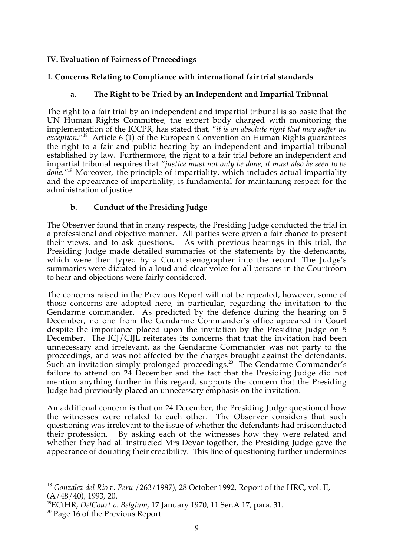## **IV. Evaluation of Fairness of Proceedings**

## **1. Concerns Relating to Compliance with international fair trial standards**

## **a. The Right to be Tried by an Independent and Impartial Tribunal**

The right to a fair trial by an independent and impartial tribunal is so basic that the UN Human Rights Committee, the expert body charged with monitoring the implementation of the ICCPR, has stated that, "*it is an absolute right that may suffer no exception*."<sup>18</sup> Article 6 (1) of the European Convention on Human Rights guarantees the right to a fair and public hearing by an independent and impartial tribunal established by law.Furthermore, the right to a fair trial before an independent and impartial tribunal requires that "*justice must not only be done, it must also be seen to be done."*<sup>19</sup> Moreover, the principle of impartiality, which includes actual impartiality and the appearance of impartiality, is fundamental for maintaining respect for the administration of justice.

## **b. Conduct of the Presiding Judge**

The Observer found that in many respects, the Presiding Judge conducted the trial in a professional and objective manner. All parties were given a fair chance to present their views, and to ask questions. As with previous hearings in this trial, the Presiding Judge made detailed summaries of the statements by the defendants, which were then typed by a Court stenographer into the record. The Judge's summaries were dictated in a loud and clear voice for all persons in the Courtroom to hear and objections were fairly considered.

The concerns raised in the Previous Report will not be repeated, however, some of those concerns are adopted here, in particular, regarding the invitation to the Gendarme commander. As predicted by the defence during the hearing on 5 December, no one from the Gendarme Commander's office appeared in Court despite the importance placed upon the invitation by the Presiding Judge on 5 December. The ICJ/CIJL reiterates its concerns that that the invitation had been unnecessary and irrelevant, as the Gendarme Commander was not party to the proceedings, and was not affected by the charges brought against the defendants. Such an invitation simply prolonged proceedings.<sup>20</sup> The Gendarme Commander's failure to attend on 24 December and the fact that the Presiding Judge did not mention anything further in this regard, supports the concern that the Presiding Judge had previously placed an unnecessary emphasis on the invitation.

An additional concern is that on 24 December, the Presiding Judge questioned how the witnesses were related to each other. The Observer considers that such questioning was irrelevant to the issue of whether the defendants had misconducted their profession. By asking each of the witnesses how they were related and whether they had all instructed Mrs Deyar together, the Presiding Judge gave the appearance of doubting their credibility. This line of questioning further undermines

 <sup>18</sup> *Gonzalez del Rio v*. *Peru* /263/1987), 28 October 1992, Report of the HRC, vol. II,  $(A/48/40)$ , 1993, 20.

<sup>19</sup> ECtHR, *DelCourt v. Belgium*, 17 January 1970, 11 Ser.A 17, para. 31.

<sup>&</sup>lt;sup>20</sup> Page 16 of the Previous Report.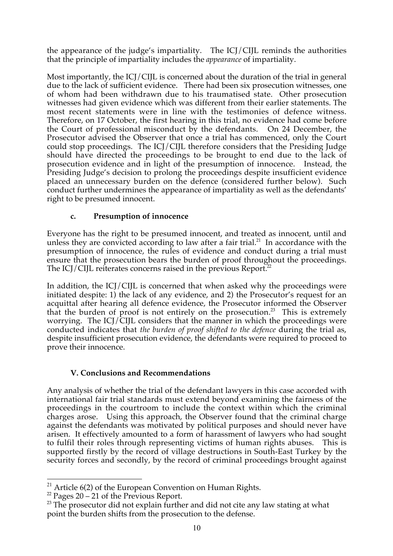the appearance of the judge's impartiality. The ICJ/CIJL reminds the authorities that the principle of impartiality includes the *appearance* of impartiality.

Most importantly, the ICJ/CIJL is concerned about the duration of the trial in general due to the lack of sufficient evidence. There had been six prosecution witnesses, one of whom had been withdrawn due to his traumatised state. Other prosecution witnesses had given evidence which was different from their earlier statements. The most recent statements were in line with the testimonies of defence witness. Therefore, on 17 October, the first hearing in this trial, no evidence had come before the Court of professional misconduct by the defendants. On 24 December, the Prosecutor advised the Observer that once a trial has commenced, only the Court could stop proceedings. The ICJ/CIJL therefore considers that the Presiding Judge should have directed the proceedings to be brought to end due to the lack of prosecution evidence and in light of the presumption of innocence. Instead, the Presiding Judge's decision to prolong the proceedings despite insufficient evidence placed an unnecessary burden on the defence (considered further below). Such conduct further undermines the appearance of impartiality as well as the defendants' right to be presumed innocent.

## **c. Presumption of innocence**

Everyone has the right to be presumed innocent, and treated as innocent, until and unless they are convicted according to law after a fair trial. $^{21}$  In accordance with the presumption of innocence, the rules of evidence and conduct during a trial must ensure that the prosecution bears the burden of proof throughout the proceedings. The ICJ/CIJL reiterates concerns raised in the previous Report.<sup>22</sup>

In addition, the ICJ/CIJL is concerned that when asked why the proceedings were initiated despite: 1) the lack of any evidence, and 2) the Prosecutor's request for an acquittal after hearing all defence evidence, the Prosecutor informed the Observer that the burden of proof is not entirely on the prosecution.<sup>23</sup> This is extremely worrying. The ICJ/CIJL considers that the manner in which the proceedings were conducted indicates that *the burden of proof shifted to the defence* during the trial as, despite insufficient prosecution evidence, the defendants were required to proceed to prove their innocence.

## **V. Conclusions and Recommendations**

Any analysis of whether the trial of the defendant lawyers in this case accorded with international fair trial standards must extend beyond examining the fairness of the proceedings in the courtroom to include the context within which the criminal charges arose. Using this approach, the Observer found that the criminal charge against the defendants was motivated by political purposes and should never have arisen. It effectively amounted to a form of harassment of lawyers who had sought to fulfil their roles through representing victims of human rights abuses. This is supported firstly by the record of village destructions in South-East Turkey by the security forces and secondly, by the record of criminal proceedings brought against

 $21$  Article 6(2) of the European Convention on Human Rights.

 $22$  Pages 20 – 21 of the Previous Report.

 $23$  The prosecutor did not explain further and did not cite any law stating at what point the burden shifts from the prosecution to the defense.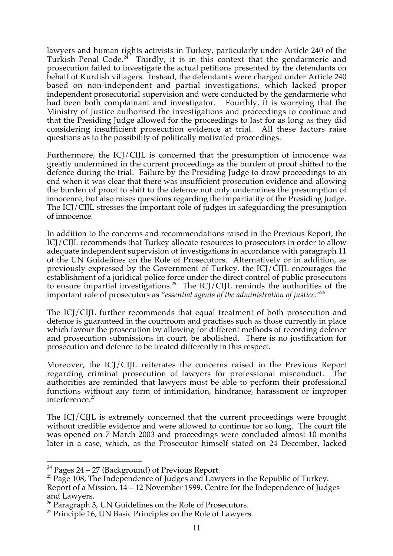lawyers and human rights activists in Turkey, particularly under Article 240 of the Turkish Penal Code.<sup>24</sup> Thirdly, it is in this context that the gendarmerie and prosecution failed to investigate the actual petitions presented by the defendants on behalf of Kurdish villagers. Instead, the defendants were charged under Article 240 based on non-independent and partial investigations, which lacked proper independent prosecutorial supervision and were conducted by the gendarmerie who had been both complainant and investigator. Fourthly, it is worrying that the Ministry of Justice authorised the investigations and proceedings to continue and that the Presiding Judge allowed for the proceedings to last for as long as they did considering insufficient prosecution evidence at trial. All these factors raise questions as to the possibility of politically motivated proceedings.

Furthermore, the ICJ/CIJL is concerned that the presumption of innocence was greatly undermined in the current proceedings as the burden of proof shifted to the defence during the trial. Failure by the Presiding Judge to draw proceedings to an end when it was clear that there was insufficient prosecution evidence and allowing the burden of proof to shift to the defence not only undermines the presumption of innocence, but also raises questions regarding the impartiality of the Presiding Judge. The ICJ/CIJL stresses the important role of judges in safeguarding the presumption of innocence.

In addition to the concerns and recommendations raised in the Previous Report, the ICJ/CIJL recommends that Turkey allocate resources to prosecutors in order to allow adequate independent supervision of investigations in accordance with paragraph 11 of the UN Guidelines on the Role of Prosecutors. Alternatively or in addition, as previously expressed by the Government of Turkey, the ICJ/CIJL encourages the establishment of a juridical police force under the direct control of public prosecutors to ensure impartial investigations.<sup>25</sup> The ICJ/CIJL reminds the authorities of the important role of prosecutors as *"essential agents of the administration of justice."*<sup>26</sup>

The ICJ/CIJL further recommends that equal treatment of both prosecution and defence is guaranteed in the courtroom and practises such as those currently in place which favour the prosecution by allowing for different methods of recording defence and prosecution submissions in court, be abolished. There is no justification for prosecution and defence to be treated differently in this respect.

Moreover, the ICJ/CIJL reiterates the concerns raised in the Previous Report regarding criminal prosecution of lawyers for professional misconduct. The authorities are reminded that lawyers must be able to perform their professional functions without any form of intimidation, hindrance, harassment or improper interference.<sup>27</sup>

The ICJ/CIJL is extremely concerned that the current proceedings were brought without credible evidence and were allowed to continue for so long. The court file was opened on 7 March 2003 and proceedings were concluded almost 10 months later in a case, which, as the Prosecutor himself stated on 24 December, lacked

 $24$  Pages 24 – 27 (Background) of Previous Report.

 $25$  Page 108, The Independence of Judges and Lawyers in the Republic of Turkey.

Report of a Mission, 14 – 12 November 1999, Centre for the Independence of Judges and Lawyers.

 $26$  Paragraph 3, UN Guidelines on the Role of Prosecutors.

<sup>&</sup>lt;sup>27</sup> Principle 16, UN Basic Principles on the Role of Lawyers.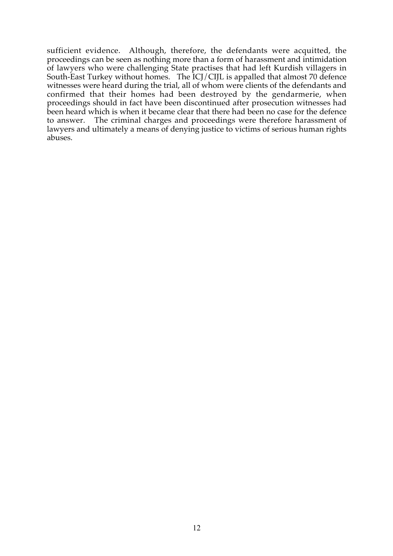sufficient evidence. Although, therefore, the defendants were acquitted, the proceedings can be seen as nothing more than a form of harassment and intimidation of lawyers who were challenging State practises that had left Kurdish villagers in South-East Turkey without homes. The ICJ/CIJL is appalled that almost 70 defence witnesses were heard during the trial, all of whom were clients of the defendants and confirmed that their homes had been destroyed by the gendarmerie, when proceedings should in fact have been discontinued after prosecution witnesses had been heard which is when it became clear that there had been no case for the defence to answer. The criminal charges and proceedings were therefore harassment of lawyers and ultimately a means of denying justice to victims of serious human rights abuses.